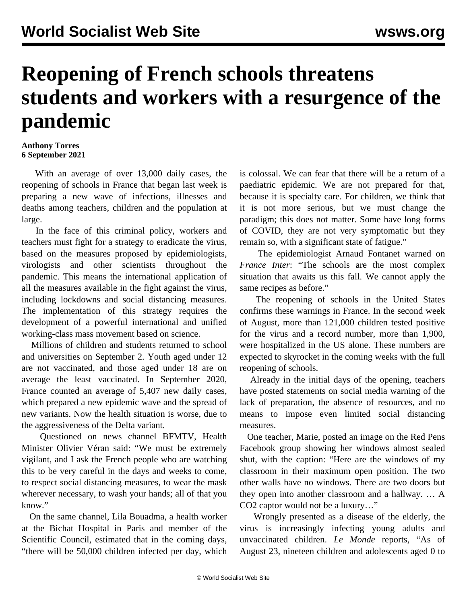## **Reopening of French schools threatens students and workers with a resurgence of the pandemic**

## **Anthony Torres 6 September 2021**

 With an average of over 13,000 daily cases, the reopening of schools in France that began last week is preparing a new wave of infections, illnesses and deaths among teachers, children and the population at large.

 In the face of this criminal policy, workers and teachers must fight for a strategy to eradicate the virus, based on the measures proposed by epidemiologists, virologists and other scientists throughout the pandemic. This means the international application of all the measures available in the fight against the virus, including lockdowns and social distancing measures. The implementation of this strategy requires the development of a powerful international and unified working-class mass movement based on science.

 Millions of children and students returned to school and universities on September 2. Youth aged under 12 are not vaccinated, and those aged under 18 are on average the least vaccinated. In September 2020, France counted an average of 5,407 new daily cases, which prepared a new epidemic wave and the spread of new variants. Now the health situation is worse, due to the aggressiveness of the Delta variant.

 Questioned on news channel BFMTV, Health Minister Olivier Véran said: "We must be extremely vigilant, and I ask the French people who are watching this to be very careful in the days and weeks to come, to respect social distancing measures, to wear the mask wherever necessary, to wash your hands; all of that you know."

 On the same channel, Lila Bouadma, a health worker at the Bichat Hospital in Paris and member of the Scientific Council, estimated that in the coming days, "there will be 50,000 children infected per day, which is colossal. We can fear that there will be a return of a paediatric epidemic. We are not prepared for that, because it is specialty care. For children, we think that it is not more serious, but we must change the paradigm; this does not matter. Some have long forms of COVID, they are not very symptomatic but they remain so, with a significant state of fatigue."

 The epidemiologist Arnaud Fontanet warned on *France Inter*: "The schools are the most complex situation that awaits us this fall. We cannot apply the same recipes as before."

 The reopening of schools in the United States confirms these warnings in France. In the second week of August, more than 121,000 children tested positive for the virus and a record number, more than 1,900, were hospitalized in the US alone. These numbers are expected to skyrocket in the coming weeks with the full reopening of schools.

 Already in the initial days of the opening, teachers have posted statements on social media warning of the lack of preparation, the absence of resources, and no means to impose even limited social distancing measures.

 One teacher, Marie, posted an image on the Red Pens Facebook group showing her windows almost sealed shut, with the caption: "Here are the windows of my classroom in their maximum open position. The two other walls have no windows. There are two doors but they open into another classroom and a hallway. … A CO2 captor would not be a luxury…"

 Wrongly presented as a disease of the elderly, the virus is increasingly infecting young adults and unvaccinated children. *Le Monde* reports, "As of August 23, nineteen children and adolescents aged 0 to